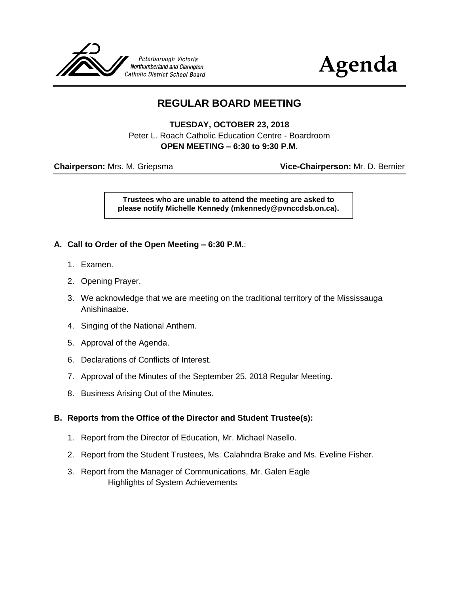



# **REGULAR BOARD MEETING**

**TUESDAY, OCTOBER 23, 2018**

Peter L. Roach Catholic Education Centre - Boardroom **OPEN MEETING – 6:30 to 9:30 P.M.**

**Chairperson:** Mrs. M. Griepsma **Vice-Chairperson:** Mr. D. Bernier

**Trustees who are unable to attend the meeting are asked to please notify Michelle Kennedy (mkennedy@pvnccdsb.on.ca).**

#### **A. Call to Order of the Open Meeting – 6:30 P.M.**:

- 1. Examen.
- 2. Opening Prayer.
- 3. We acknowledge that we are meeting on the traditional territory of the Mississauga Anishinaabe.
- 4. Singing of the National Anthem.
- 5. Approval of the Agenda.
- 6. Declarations of Conflicts of Interest.
- 7. Approval of the Minutes of the September 25, 2018 Regular Meeting.
- 8. Business Arising Out of the Minutes.

#### **B. Reports from the Office of the Director and Student Trustee(s):**

- 1. Report from the Director of Education, Mr. Michael Nasello.
- 2. Report from the Student Trustees, Ms. Calahndra Brake and Ms. Eveline Fisher.
- 3. Report from the Manager of Communications, Mr. Galen Eagle Highlights of System Achievements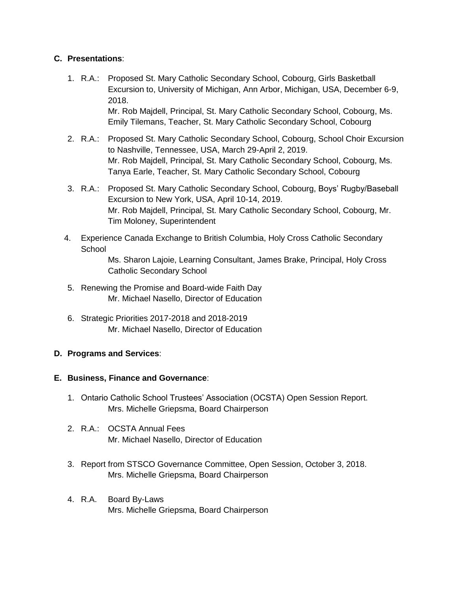# **C. Presentations**:

- 1. R.A.: Proposed St. Mary Catholic Secondary School, Cobourg, Girls Basketball Excursion to, University of Michigan, Ann Arbor, Michigan, USA, December 6-9, 2018. Mr. Rob Majdell, Principal, St. Mary Catholic Secondary School, Cobourg, Ms. Emily Tilemans, Teacher, St. Mary Catholic Secondary School, Cobourg
- 2. R.A.: Proposed St. Mary Catholic Secondary School, Cobourg, School Choir Excursion to Nashville, Tennessee, USA, March 29-April 2, 2019. Mr. Rob Majdell, Principal, St. Mary Catholic Secondary School, Cobourg, Ms. Tanya Earle, Teacher, St. Mary Catholic Secondary School, Cobourg
- 3. R.A.: Proposed St. Mary Catholic Secondary School, Cobourg, Boys' Rugby/Baseball Excursion to New York, USA, April 10-14, 2019. Mr. Rob Majdell, Principal, St. Mary Catholic Secondary School, Cobourg, Mr. Tim Moloney, Superintendent
- 4. Experience Canada Exchange to British Columbia, Holy Cross Catholic Secondary **School**

Ms. Sharon Lajoie, Learning Consultant, James Brake, Principal, Holy Cross Catholic Secondary School

- 5. Renewing the Promise and Board-wide Faith Day Mr. Michael Nasello, Director of Education
- 6. Strategic Priorities 2017-2018 and 2018-2019 Mr. Michael Nasello, Director of Education

# **D. Programs and Services**:

#### **E. Business, Finance and Governance**:

- 1. Ontario Catholic School Trustees' Association (OCSTA) Open Session Report. Mrs. Michelle Griepsma, Board Chairperson
- 2. R.A.: OCSTA Annual Fees Mr. Michael Nasello, Director of Education
- 3. Report from STSCO Governance Committee, Open Session, October 3, 2018. Mrs. Michelle Griepsma, Board Chairperson
- 4. R.A. Board By-Laws Mrs. Michelle Griepsma, Board Chairperson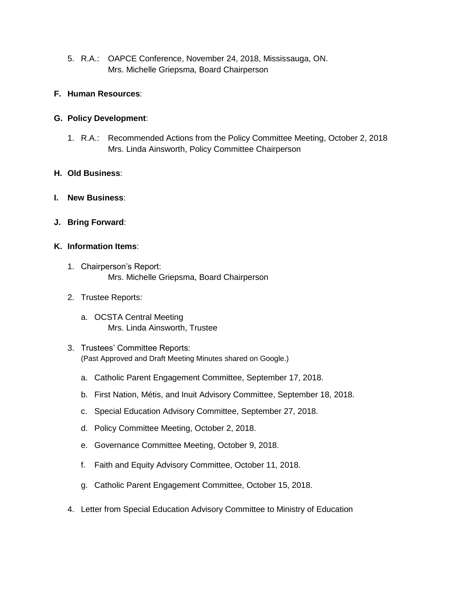5. R.A.: OAPCE Conference, November 24, 2018, Mississauga, ON. Mrs. Michelle Griepsma, Board Chairperson

#### **F. Human Resources**:

#### **G. Policy Development**:

1. R.A.: Recommended Actions from the Policy Committee Meeting, October 2, 2018 Mrs. Linda Ainsworth, Policy Committee Chairperson

# **H. Old Business**:

- **I. New Business**:
- **J. Bring Forward**:

#### **K. Information Items**:

- 1. Chairperson's Report: Mrs. Michelle Griepsma, Board Chairperson
- 2. Trustee Reports:
	- a. OCSTA Central Meeting Mrs. Linda Ainsworth, Trustee
- 3. Trustees' Committee Reports: (Past Approved and Draft Meeting Minutes shared on Google.)
	- a. Catholic Parent Engagement Committee, September 17, 2018.
	- b. First Nation, Métis, and Inuit Advisory Committee, September 18, 2018.
	- c. Special Education Advisory Committee, September 27, 2018.
	- d. Policy Committee Meeting, October 2, 2018.
	- e. Governance Committee Meeting, October 9, 2018.
	- f. Faith and Equity Advisory Committee, October 11, 2018.
	- g. Catholic Parent Engagement Committee, October 15, 2018.
- 4. Letter from Special Education Advisory Committee to Ministry of Education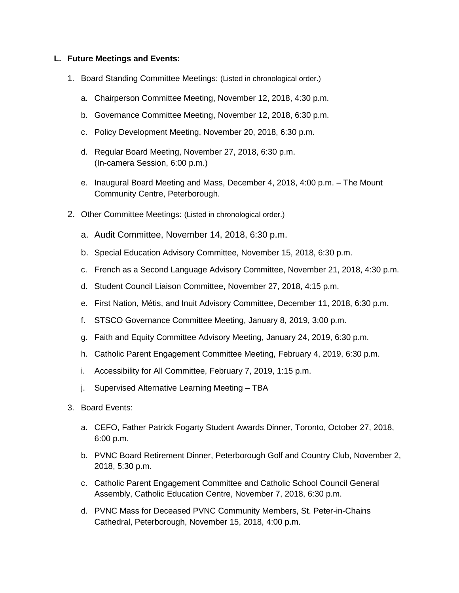#### **L. Future Meetings and Events:**

- 1. Board Standing Committee Meetings: (Listed in chronological order.)
	- a. Chairperson Committee Meeting, November 12, 2018, 4:30 p.m.
	- b. Governance Committee Meeting, November 12, 2018, 6:30 p.m.
	- c. Policy Development Meeting, November 20, 2018, 6:30 p.m.
	- d. Regular Board Meeting, November 27, 2018, 6:30 p.m. (In-camera Session, 6:00 p.m.)
	- e. Inaugural Board Meeting and Mass, December 4, 2018, 4:00 p.m. The Mount Community Centre, Peterborough.
- 2. Other Committee Meetings: (Listed in chronological order.)
	- a. Audit Committee, November 14, 2018, 6:30 p.m.
	- b. Special Education Advisory Committee, November 15, 2018, 6:30 p.m.
	- c. French as a Second Language Advisory Committee, November 21, 2018, 4:30 p.m.
	- d. Student Council Liaison Committee, November 27, 2018, 4:15 p.m.
	- e. First Nation, Métis, and Inuit Advisory Committee, December 11, 2018, 6:30 p.m.
	- f. STSCO Governance Committee Meeting, January 8, 2019, 3:00 p.m.
	- g. Faith and Equity Committee Advisory Meeting, January 24, 2019, 6:30 p.m.
	- h. Catholic Parent Engagement Committee Meeting, February 4, 2019, 6:30 p.m.
	- i. Accessibility for All Committee, February 7, 2019, 1:15 p.m.
	- j. Supervised Alternative Learning Meeting TBA
- 3. Board Events:
	- a. CEFO, Father Patrick Fogarty Student Awards Dinner, Toronto, October 27, 2018, 6:00 p.m.
	- b. PVNC Board Retirement Dinner, Peterborough Golf and Country Club, November 2, 2018, 5:30 p.m.
	- c. Catholic Parent Engagement Committee and Catholic School Council General Assembly, Catholic Education Centre, November 7, 2018, 6:30 p.m.
	- d. PVNC Mass for Deceased PVNC Community Members, St. Peter-in-Chains Cathedral, Peterborough, November 15, 2018, 4:00 p.m.